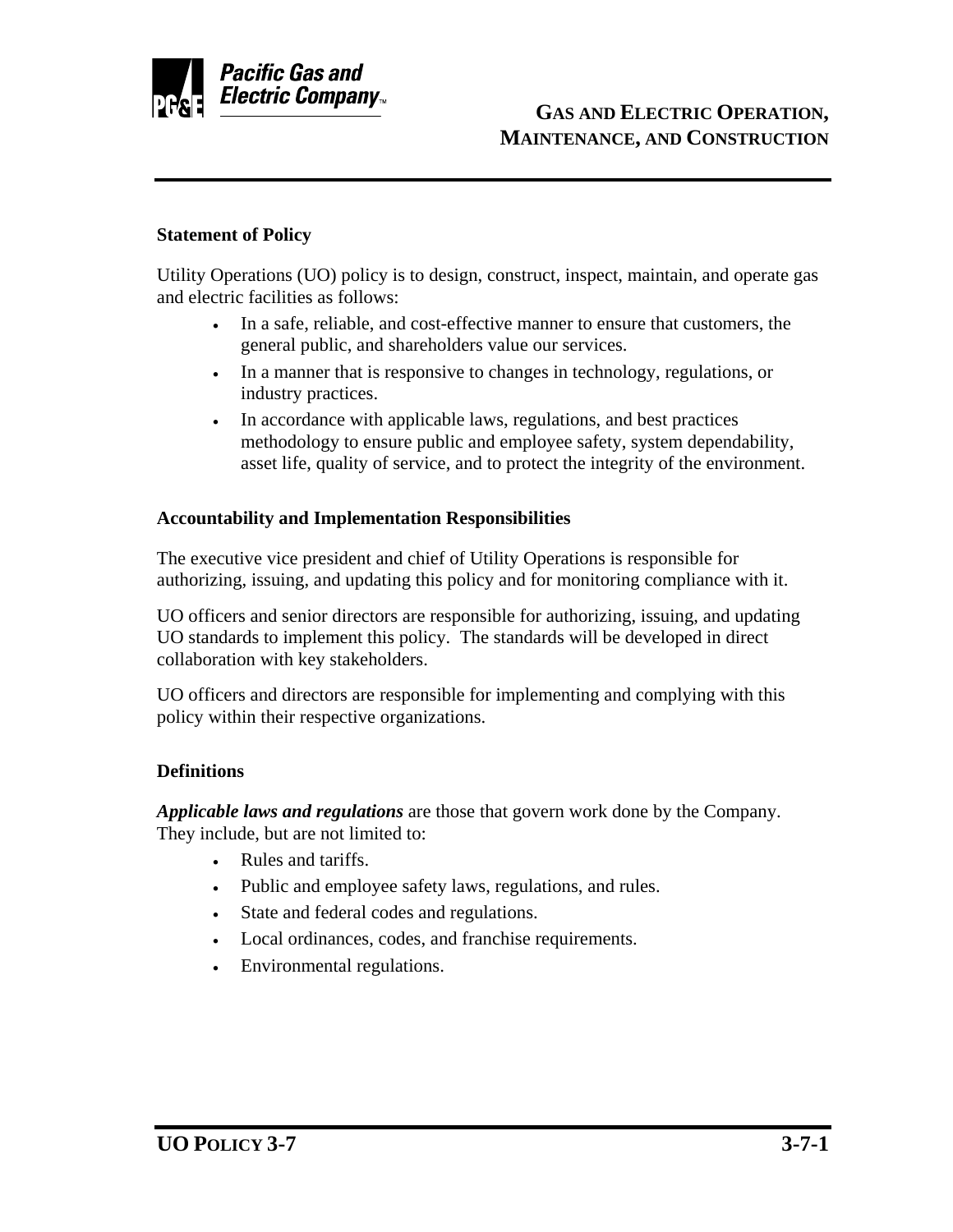

## **Statement of Policy**

Utility Operations (UO) policy is to design, construct, inspect, maintain, and operate gas and electric facilities as follows:

- In a safe, reliable, and cost-effective manner to ensure that customers, the general public, and shareholders value our services.
- In a manner that is responsive to changes in technology, regulations, or industry practices.
- In accordance with applicable laws, regulations, and best practices methodology to ensure public and employee safety, system dependability, asset life, quality of service, and to protect the integrity of the environment.

## **Accountability and Implementation Responsibilities**

The executive vice president and chief of Utility Operations is responsible for authorizing, issuing, and updating this policy and for monitoring compliance with it.

UO officers and senior directors are responsible for authorizing, issuing, and updating UO standards to implement this policy. The standards will be developed in direct collaboration with key stakeholders.

UO officers and directors are responsible for implementing and complying with this policy within their respective organizations.

## **Definitions**

*Applicable laws and regulations* are those that govern work done by the Company. They include, but are not limited to:

- Rules and tariffs.
- Public and employee safety laws, regulations, and rules.
- State and federal codes and regulations.
- Local ordinances, codes, and franchise requirements.
- Environmental regulations.